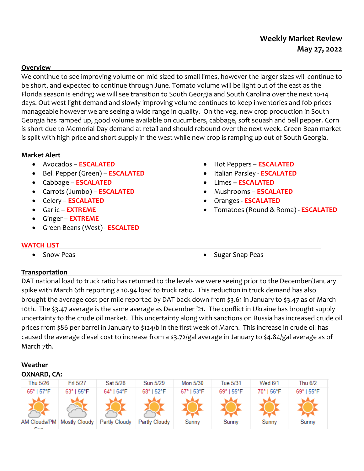# **Weekly Market Review May 27, 2022**

## **Overview**

We continue to see improving volume on mid-sized to small limes, however the larger sizes will continue to be short, and expected to continue through June. Tomato volume will be light out of the east as the Florida season is ending; we will see transition to South Georgia and South Carolina over the next 10-14 days. Out west light demand and slowly improving volume continues to keep inventories and fob prices manageable however we are seeing a wide range in quality. On the veg, new crop production in South Georgia has ramped up, good volume available on cucumbers, cabbage, soft squash and bell pepper. Corn is short due to Memorial Day demand at retail and should rebound over the next week. Green Bean market is split with high price and short supply in the west while new crop is ramping up out of South Georgia.

## **Market Alert**

- Avocados **ESCALATED**
- Bell Pepper (Green) **ESCALATED**
- Cabbage **ESCALATED**
- Carrots (Jumbo) **ESCALATED**
- Celery **ESCALATED**
- Garlic **EXTREME**
- Ginger **EXTREME**
- Green Beans (West) **ESCALTED**
- Hot Peppers **ESCALATED**
- Italian Parsley **ESCALATED**
- Limes **– ESCALATED**
- Mushrooms **ESCALATED**
- Oranges **- ESCALATED**
- Tomatoes (Round & Roma) **- ESCALATED**

## **WATCH LIST**

- 
- Snow Peas **Sugar Snap Peas Sugar Snap Peas**

## **Transportation**

DAT national load to truck ratio has returned to the levels we were seeing prior to the December/January spike with March 6th reporting a 10.94 load to truck ratio. This reduction in truck demand has also brought the average cost per mile reported by DAT back down from \$3.61 in January to \$3.47 as of March 10th. The \$3.47 average is the same average as December '21. The conflict in Ukraine has brought supply uncertainty to the crude oil market. This uncertainty along with sanctions on Russia has increased crude oil prices from \$86 per barrel in January to \$124/b in the first week of March. This increase in crude oil has caused the average diesel cost to increase from a \$3.72/gal average in January to \$4.84/gal average as of March 7th.

#### **Weather OXNARD, CA:**Thu 5/26 Fri 5/27 Sat 5/28 Sun 5/29 Mon 5/30 **Tue 5/31** Wed 6/1 Thu 6/2 65° | 57°F 69° | 55°F 63° I 55°F 64° | 54°F 68° | 52°F 67° | 53°F 69° | 55°F 70° I 56°F Mostly Cloudy AM Clouds/PM | Partly Cloudy Partly Cloudy Sunnv Sunny Sunny Sunnv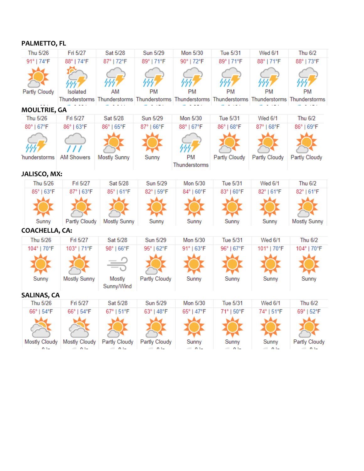## **PALMETTO, FL**

| Thu 5/26              | Fri 5/27                  | Sat 5/28                                      | Sun 5/29                  | Mon 5/30            | Tue 5/31                      | <b>Wed 6/1</b> | Thu 6/2                                                                                           |  |
|-----------------------|---------------------------|-----------------------------------------------|---------------------------|---------------------|-------------------------------|----------------|---------------------------------------------------------------------------------------------------|--|
| 91°   74°F            | 88°   74°F                | 87°   72°F                                    | 89°   71°F                | 90°   72°F          | 89°   71°F                    | 88°   71°F     | 88°   73°F                                                                                        |  |
|                       |                           | AM                                            | PM                        | <b>PM</b>           | <b>PM</b>                     | <b>PM</b>      | <b>PM</b>                                                                                         |  |
| Partly Cloudy         | Isolated                  |                                               |                           |                     |                               |                | Thunderstorms Thunderstorms Thunderstorms Thunderstorms Thunderstorms Thunderstorms Thunderstorms |  |
| <b>MOULTRIE, GA</b>   |                           |                                               |                           |                     |                               |                |                                                                                                   |  |
| Thu 5/26              | Fri 5/27                  | Sat 5/28                                      | Sun 5/29                  | Mon 5/30            | Tue 5/31                      | Wed 6/1        | Thu 6/2                                                                                           |  |
| 80°   67°F            | 86°   63°F                | 86°   65°F                                    | 87°   66°F                | 88°   67°F          | 86°   68° F                   | 87°   68°F     | 86°   69°F                                                                                        |  |
| hunderstorms          | <b>AM Showers</b>         | <b>Mostly Sunny</b>                           | Sunny                     | PM<br>Thunderstorms | Partly Cloudy                 | Partly Cloudy  | Partly Cloudy                                                                                     |  |
| JALISCO, MX:          |                           |                                               |                           |                     |                               |                |                                                                                                   |  |
| Thu 5/26              | Fri 5/27                  | Sat 5/28                                      | Sun 5/29                  | Mon 5/30            | Tue 5/31                      | <b>Wed 6/1</b> | Thu 6/2                                                                                           |  |
| 85°   63°F            | 87°   63°F                | 85°   61°F                                    | 82°   59°F                | 84°   60°F          | 83°   60°F                    | 82°   61°F     | 82°   61°F                                                                                        |  |
|                       |                           |                                               |                           |                     |                               |                |                                                                                                   |  |
| Sunny                 | Partly Cloudy             | <b>Mostly Sunny</b>                           | Sunny                     | Sunny               | Sunny                         | Sunny          | Mostly Sunny                                                                                      |  |
| <b>COACHELLA, CA:</b> |                           |                                               |                           |                     |                               |                |                                                                                                   |  |
| Thu 5/26              | Fri 5/27                  | Sat 5/28                                      | Sun 5/29                  | Mon 5/30            | Tue 5/31                      | <b>Wed 6/1</b> | <b>Thu 6/2</b>                                                                                    |  |
| 104°   70°F           | 103°   71°F               | 98°   66°F                                    | 95°   62°F                | 91°   63°F          | 96°   67°F                    | 101°   70°F    | 104°   70°F                                                                                       |  |
| Sunny                 | Mostly Sunny              | Mostly                                        | Partly Cloudy             | Sunny               | Sunny                         | Sunny          | Sunny                                                                                             |  |
|                       |                           | Sunny/Wind                                    |                           |                     |                               |                |                                                                                                   |  |
| <b>SALINAS, CA</b>    |                           |                                               |                           |                     |                               |                |                                                                                                   |  |
| Thu 5/26              | Fri 5/27                  | Sat 5/28                                      | Sun 5/29                  | Mon 5/30            | Tue 5/31                      | <b>Wed 6/1</b> | Thu 6/2                                                                                           |  |
| 66°   54°F            | 66°   54°F                | 67°   51°F                                    | 63°   48°F                | 65°   47°F          | 71°   50°F                    | 74°   51°F     | 69°   52°F                                                                                        |  |
|                       |                           |                                               |                           |                     |                               |                |                                                                                                   |  |
|                       |                           | Mostly Cloudy   Mostly Cloudy   Partly Cloudy | Partly Cloudy             | Sunny               | Sunny                         | Sunny          | Partly Cloudy                                                                                     |  |
|                       | $\mathbf{A}$ $\mathbf{A}$ | $\sim$ $\sim$ $\sim$                          | $\mathbf{A}$ $\mathbf{A}$ | $\mathbf{A}$ is a   | $\mathbb{R}$ and $\mathbb{R}$ | $\sim$ 0.1.    | $\mathbf{A}$ in $\mathbf{A}$                                                                      |  |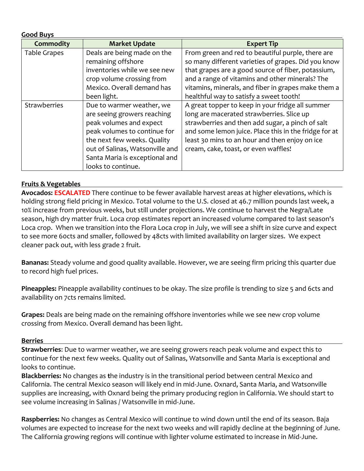| <b>Good Buys</b>    |                                                                                                                                                                                                                                               |                                                                                                                                                                                                                                                                                                                     |  |
|---------------------|-----------------------------------------------------------------------------------------------------------------------------------------------------------------------------------------------------------------------------------------------|---------------------------------------------------------------------------------------------------------------------------------------------------------------------------------------------------------------------------------------------------------------------------------------------------------------------|--|
| <b>Commodity</b>    | <b>Market Update</b>                                                                                                                                                                                                                          | <b>Expert Tip</b>                                                                                                                                                                                                                                                                                                   |  |
| Table Grapes        | Deals are being made on the<br>remaining offshore<br>inventories while we see new<br>crop volume crossing from<br>Mexico. Overall demand has<br>been light.                                                                                   | From green and red to beautiful purple, there are<br>so many different varieties of grapes. Did you know<br>that grapes are a good source of fiber, potassium,<br>and a range of vitamins and other minerals? The<br>vitamins, minerals, and fiber in grapes make them a<br>healthful way to satisfy a sweet tooth! |  |
| <b>Strawberries</b> | Due to warmer weather, we<br>are seeing growers reaching<br>peak volumes and expect<br>peak volumes to continue for<br>the next few weeks. Quality<br>out of Salinas, Watsonville and<br>Santa Maria is exceptional and<br>looks to continue. | A great topper to keep in your fridge all summer<br>long are macerated strawberries. Slice up<br>strawberries and then add sugar, a pinch of salt<br>and some lemon juice. Place this in the fridge for at<br>least 30 mins to an hour and then enjoy on ice<br>cream, cake, toast, or even waffles!                |  |

## **Fruits & Vegetables**

**Avocados: ESCALATED** There continue to be fewer available harvest areas at higher elevations, which is holding strong field pricing in Mexico. Total volume to the U.S. closed at 46.7 million pounds last week, a 10% increase from previous weeks, but still under projections. We continue to harvest the Negra/Late season, high dry matter fruit. Loca crop estimates report an increased volume compared to last season's Loca crop. When we transition into the Flora Loca crop in July, we will see a shift in size curve and expect to see more 60cts and smaller, followed by 48cts with limited availability on larger sizes. We expect cleaner pack out, with less grade 2 fruit.

**Bananas:** Steady volume and good quality available. However, we are seeing firm pricing this quarter due to record high fuel prices.

**Pineapples:** Pineapple availability continues to be okay. The size profile is trending to size 5 and 6cts and availability on 7cts remains limited.

**Grapes:** Deals are being made on the remaining offshore inventories while we see new crop volume crossing from Mexico. Overall demand has been light.

## **Berries**

**Strawberries**: Due to warmer weather, we are seeing growers reach peak volume and expect this to continue for the next few weeks. Quality out of Salinas, Watsonville and Santa Maria is exceptional and looks to continue.

**Blackberries:** No changes as **t**he industry is in the transitional period between central Mexico and California. The central Mexico season will likely end in mid-June. Oxnard, Santa Maria, and Watsonville supplies are increasing, with Oxnard being the primary producing region in California. We should start to see volume increasing in Salinas / Watsonville in mid-June.

**Raspberries:** No changes as Central Mexico will continue to wind down until the end of its season. Baja volumes are expected to increase for the next two weeks and will rapidly decline at the beginning of June. The California growing regions will continue with lighter volume estimated to increase in Mid-June.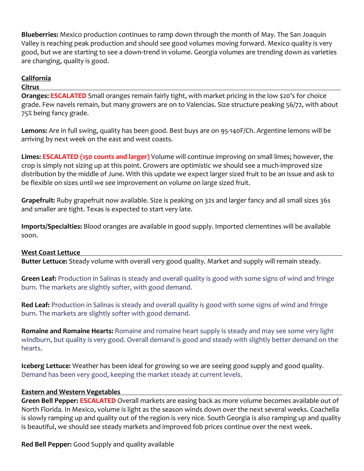**Blueberries:** Mexico production continues to ramp down through the month of May. The San Joaquin Valley is reaching peak production and should see good volumes moving forward. Mexico quality is very good, but we are starting to see a down-trend in volume. Georgia volumes are trending down as varieties are changing, quality is good.

## **California**

## **Citrus**

**Oranges: ESCALATED** Small oranges remain fairly tight, with market pricing in the low \$20's for choice grade. Few navels remain, but many growers are on to Valencias. Size structure peaking 56/72, with about 75% being fancy grade.

**Lemons:** Are in full swing, quality has been good. Best buys are on 95-140F/Ch. Argentine lemons will be arriving by next week on the east and west coasts.

**Limes: ESCALATED (150 counts and larger)** Volume will continue improving on small limes; however, the crop is simply not sizing up at this point. Growers are optimistic we should see a much-improved size distribution by the middle of June. With this update we expect larger sized fruit to be an issue and ask to be flexible on sizes until we see improvement on volume on large sized fruit.

**Grapefruit:** Ruby grapefruit now available. Size is peaking on 32s and larger fancy and all small sizes 36s and smaller are tight. Texas is expected to start very late.

**Imports/Specialties:** Blood oranges are available in good supply. Imported clementines will be available soon.

## **West Coast Lettuce**

**Butter Lettuce:** Steady volume with overall very good quality. Market and supply will remain steady.

**Green Leaf:** Production in Salinas is steady and overall quality is good with some signs of wind and fringe burn. The markets are slightly softer, with good demand.

**Red Leaf:** Production in Salinas is steady and overall quality is good with some signs of wind and fringe burn. The markets are slightly softer with good demand.

**Romaine and Romaine Hearts:** Romaine and romaine heart supply is steady and may see some very light windburn, but quality is very good. Overall demand is good and steady with slightly better demand on the hearts.

**Iceberg Lettuce:** Weather has been ideal for growing so we are seeing good supply and good quality. Demand has been very good, keeping the market steady at current levels.

## **Eastern and Western Vegetables**

**Green Bell Pepper: ESCALATED** Overall markets are easing back as more volume becomes available out of North Florida. In Mexico, volume is light as the season winds down over the next several weeks. Coachella is slowly ramping up and quality out of the region is very nice. South Georgia is also ramping up and quality is beautiful, we should see steady markets and improved fob prices continue over the next week.

**Red Bell Pepper:** Good Supply and quality available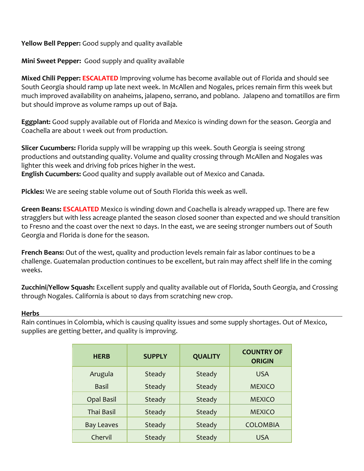## **Yellow Bell Pepper:** Good supply and quality available

**Mini Sweet Pepper:** Good supply and quality available

**Mixed Chili Pepper: ESCALATED** Improving volume has become available out of Florida and should see South Georgia should ramp up late next week. In McAllen and Nogales, prices remain firm this week but much improved availability on anaheims, jalapeno, serrano, and poblano. Jalapeno and tomatillos are firm but should improve as volume ramps up out of Baja.

**Eggplant:** Good supply available out of Florida and Mexico is winding down for the season. Georgia and Coachella are about 1 week out from production.

**Slicer Cucumbers:** Florida supply will be wrapping up this week. South Georgia is seeing strong productions and outstanding quality. Volume and quality crossing through McAllen and Nogales was lighter this week and driving fob prices higher in the west. **English Cucumbers:** Good quality and supply available out of Mexico and Canada.

**Pickles:** We are seeing stable volume out of South Florida this week as well.

**Green Beans: ESCALATED** Mexico is winding down and Coachella is already wrapped up. There are few stragglers but with less acreage planted the season closed sooner than expected and we should transition to Fresno and the coast over the next 10 days. In the east, we are seeing stronger numbers out of South Georgia and Florida is done for the season.

**French Beans:** Out of the west, quality and production levels remain fair as labor continues to be a challenge. Guatemalan production continues to be excellent, but rain may affect shelf life in the coming weeks.

**Zucchini/Yellow Squash:** Excellent supply and quality available out of Florida, South Georgia, and Crossing through Nogales. California is about 10 days from scratching new crop.

## **Herbs**

Rain continues in Colombia, which is causing quality issues and some supply shortages. Out of Mexico, supplies are getting better, and quality is improving.

| <b>HERB</b>                 | <b>SUPPLY</b> | <b>QUALITY</b> | <b>COUNTRY OF</b><br><b>ORIGIN</b> |
|-----------------------------|---------------|----------------|------------------------------------|
| Arugula                     | Steady        | Steady         | <b>USA</b>                         |
| <b>Basil</b>                | Steady        | Steady         | <b>MEXICO</b>                      |
| <b>Opal Basil</b>           | Steady        | Steady         | <b>MEXICO</b>                      |
| <b>Thai Basil</b>           | Steady        |                | <b>MEXICO</b>                      |
| <b>Bay Leaves</b><br>Steady |               | Steady         | <b>COLOMBIA</b>                    |
| Chervil                     | Steady        | Steady         | <b>USA</b>                         |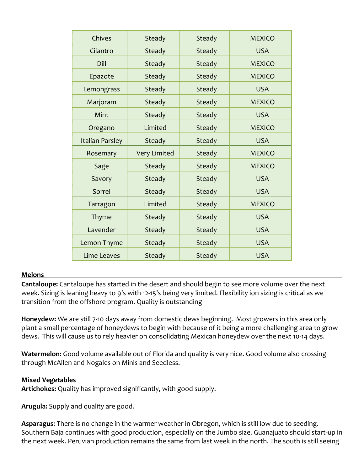| Chives                           | Steady              | Steady        | <b>MEXICO</b>               |  |
|----------------------------------|---------------------|---------------|-----------------------------|--|
| Cilantro                         | Steady              |               | <b>USA</b>                  |  |
| Dill                             | Steady              | Steady        | <b>MEXICO</b>               |  |
| Epazote                          | Steady              | Steady        | <b>MEXICO</b>               |  |
| Lemongrass                       | Steady              | Steady        | <b>USA</b>                  |  |
| Marjoram                         | Steady              | Steady        | <b>MEXICO</b>               |  |
| Mint                             | <b>Steady</b>       | Steady        | <b>USA</b>                  |  |
| Oregano                          | Limited             | Steady        | <b>MEXICO</b>               |  |
| <b>Italian Parsley</b><br>Steady |                     | Steady        | <b>USA</b>                  |  |
| Rosemary                         | <b>Very Limited</b> | Steady        | <b>MEXICO</b>               |  |
| Sage                             | Steady              | Steady        | <b>MEXICO</b><br><b>USA</b> |  |
| Savory                           | Steady              | <b>Steady</b> |                             |  |
| Sorrel                           | Steady              | Steady        | <b>USA</b>                  |  |
| Tarragon                         | Limited             | Steady        | <b>MEXICO</b>               |  |
| Thyme                            | <b>Steady</b>       | Steady        | <b>USA</b>                  |  |
| Lavender                         | Steady              | Steady        | <b>USA</b>                  |  |
| Lemon Thyme                      | Steady              | Steady        | <b>USA</b>                  |  |
| Lime Leaves                      | Steady              | Steady        | <b>USA</b>                  |  |
|                                  |                     |               |                             |  |

## **Melons**

**Cantaloupe:** Cantaloupe has started in the desert and should begin to see more volume over the next week. Sizing is leaning heavy to 9's with 12-15's being very limited. Flexibility ion sizing is critical as we transition from the offshore program. Quality is outstanding

**Honeydew:** We are still 7-10 days away from domestic dews beginning. Most growers in this area only plant a small percentage of honeydews to begin with because of it being a more challenging area to grow dews. This will cause us to rely heavier on consolidating Mexican honeydew over the next 10-14 days.

**Watermelon:** Good volume available out of Florida and quality is very nice. Good volume also crossing through McAllen and Nogales on Minis and Seedless.

## **Mixed Vegetables**

**Artichokes:** Quality has improved significantly, with good supply.

**Arugula:** Supply and quality are good.

**Asparagus**: There is no change in the warmer weather in Obregon, which is still low due to seeding. Southern Baja continues with good production, especially on the Jumbo size. Guanajuato should start-up in the next week. Peruvian production remains the same from last week in the north. The south is still seeing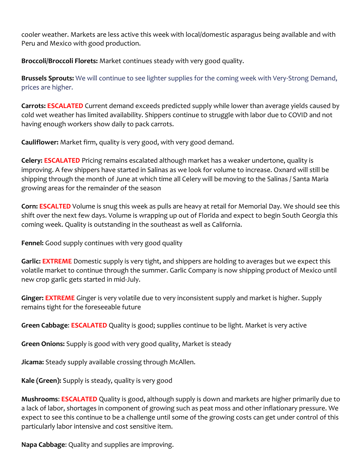cooler weather. Markets are less active this week with local/domestic asparagus being available and with Peru and Mexico with good production.

**Broccoli/Broccoli Florets:** Market continues steady with very good quality.

**Brussels Sprouts:** We will continue to see lighter supplies for the coming week with Very-Strong Demand, prices are higher.

**Carrots: ESCALATED** Current demand exceeds predicted supply while lower than average yields caused by cold wet weather has limited availability. Shippers continue to struggle with labor due to COVID and not having enough workers show daily to pack carrots.

**Cauliflower:** Market firm, quality is very good, with very good demand.

**Celery: ESCALATED** Pricing remains escalated although market has a weaker undertone, quality is improving. A few shippers have started in Salinas as we look for volume to increase. Oxnard will still be shipping through the month of June at which time all Celery will be moving to the Salinas / Santa Maria growing areas for the remainder of the season

**Corn: ESCALTED** Volume is snug this week as pulls are heavy at retail for Memorial Day. We should see this shift over the next few days. Volume is wrapping up out of Florida and expect to begin South Georgia this coming week. Quality is outstanding in the southeast as well as California.

**Fennel:** Good supply continues with very good quality

**Garlic: EXTREME** Domestic supply is very tight, and shippers are holding to averages but we expect this volatile market to continue through the summer. Garlic Company is now shipping product of Mexico until new crop garlic gets started in mid-July.

**Ginger: EXTREME** Ginger is very volatile due to very inconsistent supply and market is higher. Supply remains tight for the foreseeable future

**Green Cabbage**: **ESCALATED** Quality is good; supplies continue to be light. Market is very active

**Green Onions:** Supply is good with very good quality, Market is steady

**Jicama:** Steady supply available crossing through McAllen.

**Kale (Green):** Supply is steady, quality is very good

**Mushrooms**: **ESCALATED** Quality is good, although supply is down and markets are higher primarily due to a lack of labor, shortages in component of growing such as peat moss and other inflationary pressure. We expect to see this continue to be a challenge until some of the growing costs can get under control of this particularly labor intensive and cost sensitive item.

**Napa Cabbage**: Quality and supplies are improving.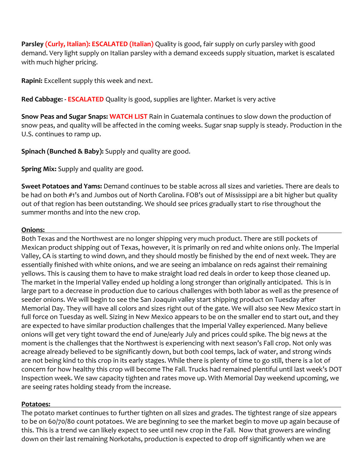**Parsley (Curly, Italian): ESCALATED (Italian)** Quality is good, fair supply on curly parsley with good demand. Very light supply on Italian parsley with a demand exceeds supply situation, market is escalated with much higher pricing.

**Rapini:** Excellent supply this week and next.

**Red Cabbage: - ESCALATED** Quality is good, supplies are lighter. Market is very active

**Snow Peas and Sugar Snaps: WATCH LIST** Rain in Guatemala continues to slow down the production of snow peas, and quality will be affected in the coming weeks. Sugar snap supply is steady. Production in the U.S. continues to ramp up.

**Spinach (Bunched & Baby):** Supply and quality are good.

**Spring Mix:** Supply and quality are good.

**Sweet Potatoes and Yams:** Demand continues to be stable across all sizes and varieties. There are deals to be had on both #1's and Jumbos out of North Carolina. FOB's out of Mississippi are a bit higher but quality out of that region has been outstanding. We should see prices gradually start to rise throughout the summer months and into the new crop.

## **Onions:**

Both Texas and the Northwest are no longer shipping very much product. There are still pockets of Mexican product shipping out of Texas, however, it is primarily on red and white onions only. The Imperial Valley, CA is starting to wind down, and they should mostly be finished by the end of next week. They are essentially finished with white onions, and we are seeing an imbalance on reds against their remaining yellows. This is causing them to have to make straight load red deals in order to keep those cleaned up. The market in the Imperial Valley ended up holding a long stronger than originally anticipated. This is in large part to a decrease in production due to carious challenges with both labor as well as the presence of seeder onions. We will begin to see the San Joaquin valley start shipping product on Tuesday after Memorial Day. They will have all colors and sizes right out of the gate. We will also see New Mexico start in full force on Tuesday as well. Sizing in New Mexico appears to be on the smaller end to start out, and they are expected to have similar production challenges that the Imperial Valley experienced. Many believe onions will get very tight toward the end of June/early July and prices could spike. The big news at the moment is the challenges that the Northwest is experiencing with next season's Fall crop. Not only was acreage already believed to be significantly down, but both cool temps, lack of water, and strong winds are not being kind to this crop in its early stages. While there is plenty of time to go still, there is a lot of concern for how healthy this crop will become The Fall. Trucks had remained plentiful until last week's DOT Inspection week. We saw capacity tighten and rates move up. With Memorial Day weekend upcoming, we are seeing rates holding steady from the increase.

## **Potatoes:**

The potato market continues to further tighten on all sizes and grades. The tightest range of size appears to be on 60/70/80 count potatoes. We are beginning to see the market begin to move up again because of this. This is a trend we can likely expect to see until new crop in the Fall. Now that growers are winding down on their last remaining Norkotahs, production is expected to drop off significantly when we are